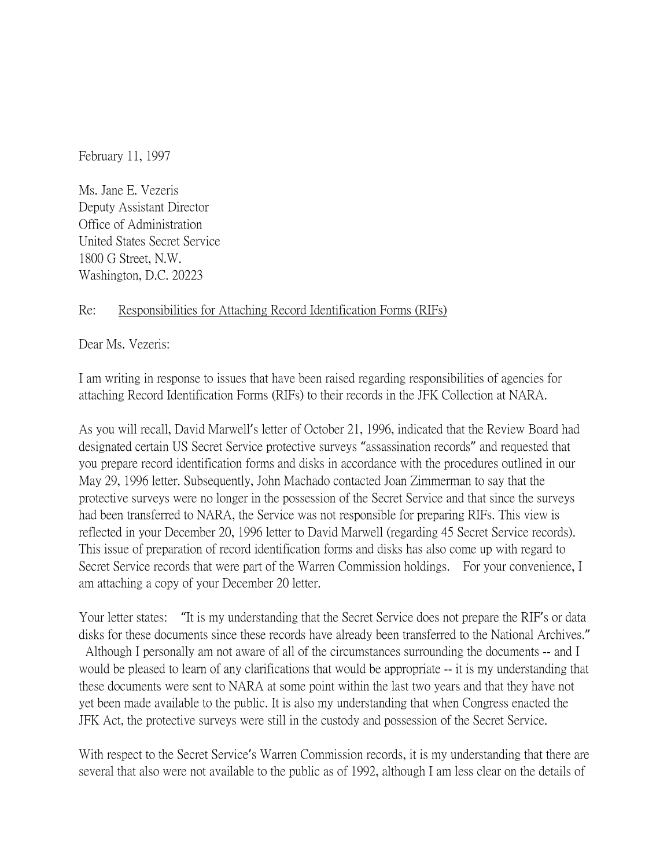February 11, 1997

Ms. Jane E. Vezeris Deputy Assistant Director Office of Administration United States Secret Service 1800 G Street, N.W. Washington, D.C. 20223

## Re: Responsibilities for Attaching Record Identification Forms (RIFs)

Dear Ms. Vezeris:

I am writing in response to issues that have been raised regarding responsibilities of agencies for attaching Record Identification Forms (RIFs) to their records in the JFK Collection at NARA.

As you will recall, David Marwell's letter of October 21, 1996, indicated that the Review Board had designated certain US Secret Service protective surveys "assassination records" and requested that you prepare record identification forms and disks in accordance with the procedures outlined in our May 29, 1996 letter. Subsequently, John Machado contacted Joan Zimmerman to say that the protective surveys were no longer in the possession of the Secret Service and that since the surveys had been transferred to NARA, the Service was not responsible for preparing RIFs. This view is reflected in your December 20, 1996 letter to David Marwell (regarding 45 Secret Service records). This issue of preparation of record identification forms and disks has also come up with regard to Secret Service records that were part of the Warren Commission holdings. For your convenience, I am attaching a copy of your December 20 letter.

Your letter states: "It is my understanding that the Secret Service does not prepare the RIF's or data disks for these documents since these records have already been transferred to the National Archives." Although I personally am not aware of all of the circumstances surrounding the documents -- and I would be pleased to learn of any clarifications that would be appropriate -- it is my understanding that these documents were sent to NARA at some point within the last two years and that they have not yet been made available to the public. It is also my understanding that when Congress enacted the JFK Act, the protective surveys were still in the custody and possession of the Secret Service.

With respect to the Secret Service's Warren Commission records, it is my understanding that there are several that also were not available to the public as of 1992, although I am less clear on the details of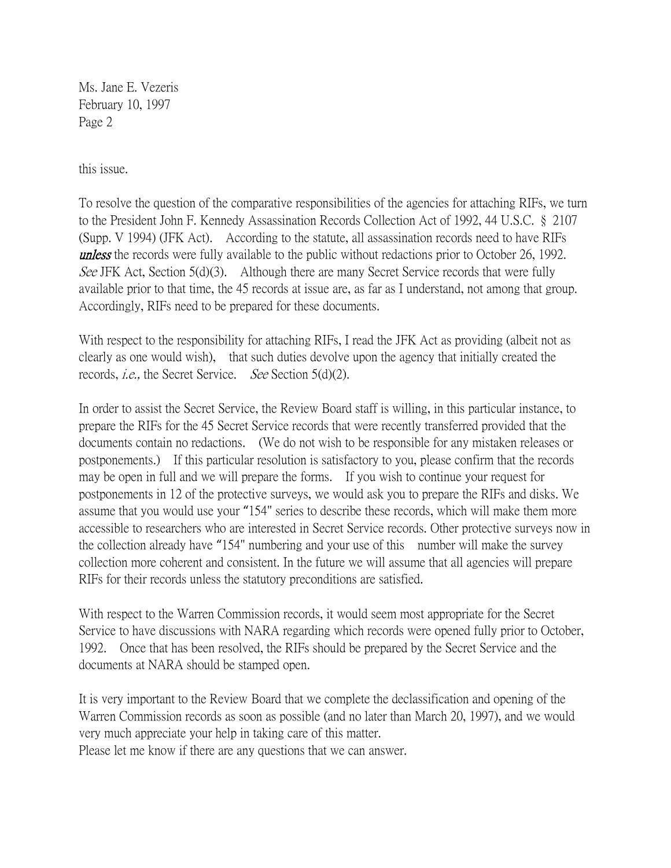Ms. Jane E. Vezeris February 10, 1997 Page 2

this issue.

To resolve the question of the comparative responsibilities of the agencies for attaching RIFs, we turn to the President John F. Kennedy Assassination Records Collection Act of 1992, 44 U.S.C. § 2107 (Supp. V 1994) (JFK Act). According to the statute, all assassination records need to have RIFs **unless** the records were fully available to the public without redactions prior to October 26, 1992. See JFK Act, Section  $5(d)(3)$ . Although there are many Secret Service records that were fully available prior to that time, the 45 records at issue are, as far as I understand, not among that group. Accordingly, RIFs need to be prepared for these documents.

With respect to the responsibility for attaching RIFs, I read the JFK Act as providing (albeit not as clearly as one would wish), that such duties devolve upon the agency that initially created the records, i.e., the Secret Service. See Section 5(d)(2).

In order to assist the Secret Service, the Review Board staff is willing, in this particular instance, to prepare the RIFs for the 45 Secret Service records that were recently transferred provided that the documents contain no redactions. (We do not wish to be responsible for any mistaken releases or postponements.) If this particular resolution is satisfactory to you, please confirm that the records may be open in full and we will prepare the forms. If you wish to continue your request for postponements in 12 of the protective surveys, we would ask you to prepare the RIFs and disks. We assume that you would use your "154" series to describe these records, which will make them more accessible to researchers who are interested in Secret Service records. Other protective surveys now in the collection already have "154" numbering and your use of this number will make the survey collection more coherent and consistent. In the future we will assume that all agencies will prepare RIFs for their records unless the statutory preconditions are satisfied.

With respect to the Warren Commission records, it would seem most appropriate for the Secret Service to have discussions with NARA regarding which records were opened fully prior to October, 1992. Once that has been resolved, the RIFs should be prepared by the Secret Service and the documents at NARA should be stamped open.

It is very important to the Review Board that we complete the declassification and opening of the Warren Commission records as soon as possible (and no later than March 20, 1997), and we would very much appreciate your help in taking care of this matter.

Please let me know if there are any questions that we can answer.